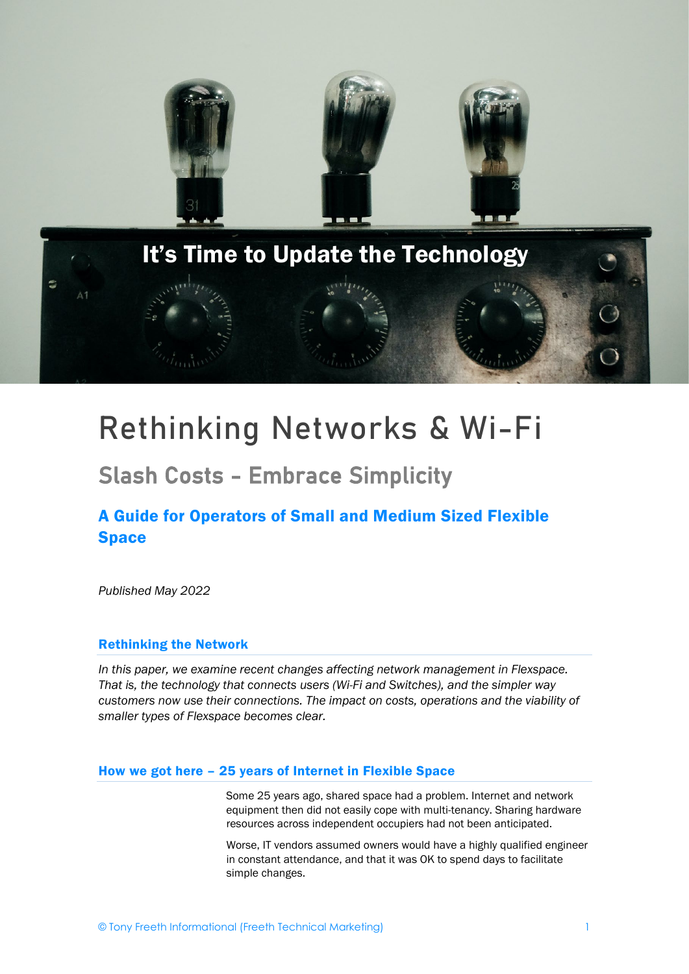

# Rethinking Networks & Wi-Fi

## Slash Costs - Embrace Simplicity

## A Guide for Operators of Small and Medium Sized Flexible **Space**

*Published May 2022*

#### Rethinking the Network

*In this paper, we examine recent changes affecting network management in Flexspace. That is, the technology that connects users (Wi-Fi and Switches), and the simpler way customers now use their connections. The impact on costs, operations and the viability of smaller types of Flexspace becomes clear.*

#### How we got here – 25 years of Internet in Flexible Space

Some 25 years ago, shared space had a problem. Internet and network equipment then did not easily cope with multi-tenancy. Sharing hardware resources across independent occupiers had not been anticipated.

Worse, IT vendors assumed owners would have a highly qualified engineer in constant attendance, and that it was OK to spend days to facilitate simple changes.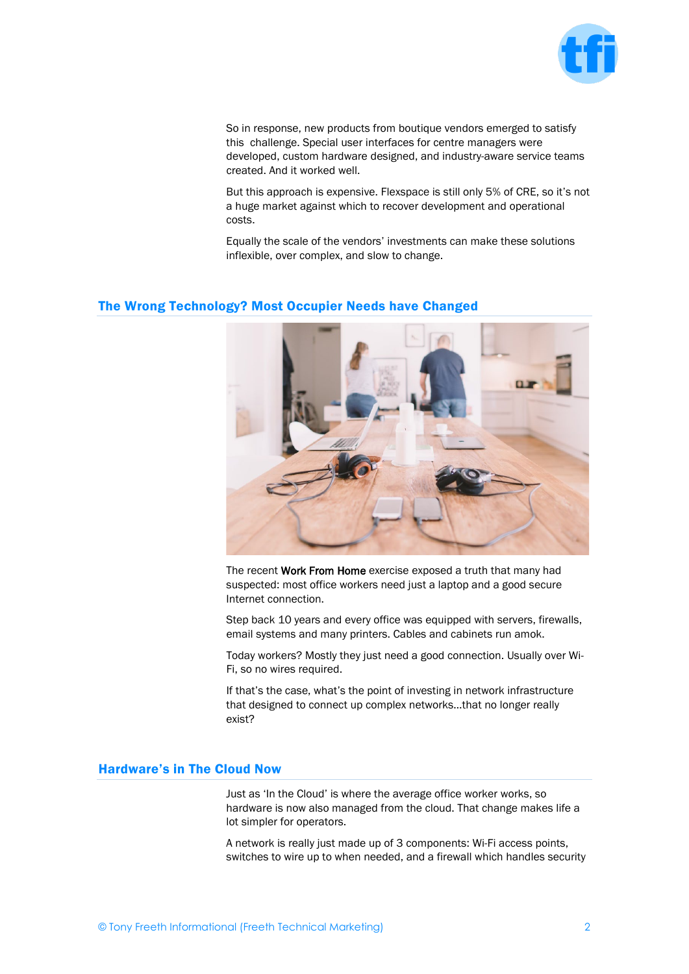

So in response, new products from boutique vendors emerged to satisfy this challenge. Special user interfaces for centre managers were developed, custom hardware designed, and industry-aware service teams created. And it worked well.

But this approach is expensive. Flexspace is still only 5% of CRE, so it's not a huge market against which to recover development and operational costs.

Equally the scale of the vendors' investments can make these solutions inflexible, over complex, and slow to change.

#### The Wrong Technology? Most Occupier Needs have Changed



The recent Work From Home exercise exposed a truth that many had suspected: most office workers need just a laptop and a good secure Internet connection.

Step back 10 years and every office was equipped with servers, firewalls, email systems and many printers. Cables and cabinets run amok.

Today workers? Mostly they just need a good connection. Usually over Wi-Fi, so no wires required.

If that's the case, what's the point of investing in network infrastructure that designed to connect up complex networks…that no longer really exist?

#### Hardware's in The Cloud Now

Just as 'In the Cloud' is where the average office worker works, so hardware is now also managed from the cloud. That change makes life a lot simpler for operators.

A network is really just made up of 3 components: Wi-Fi access points, switches to wire up to when needed, and a firewall which handles security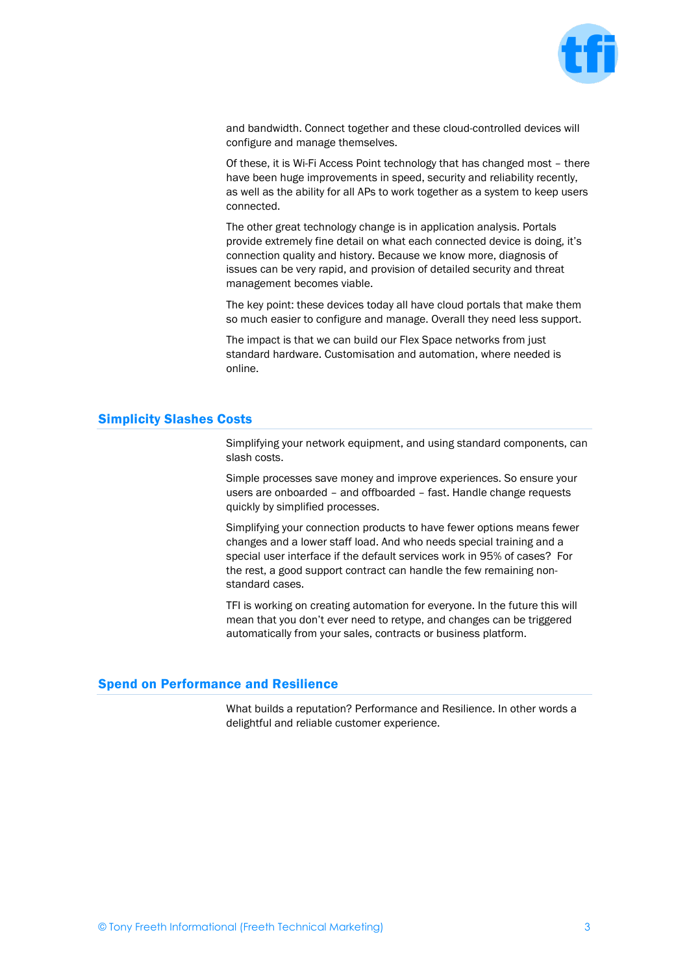

and bandwidth. Connect together and these cloud-controlled devices will configure and manage themselves.

Of these, it is Wi-Fi Access Point technology that has changed most – there have been huge improvements in speed, security and reliability recently, as well as the ability for all APs to work together as a system to keep users connected.

The other great technology change is in application analysis. Portals provide extremely fine detail on what each connected device is doing, it's connection quality and history. Because we know more, diagnosis of issues can be very rapid, and provision of detailed security and threat management becomes viable.

The key point: these devices today all have cloud portals that make them so much easier to configure and manage. Overall they need less support.

The impact is that we can build our Flex Space networks from just standard hardware. Customisation and automation, where needed is online.

#### Simplicity Slashes Costs

Simplifying your network equipment, and using standard components, can slash costs.

Simple processes save money and improve experiences. So ensure your users are onboarded – and offboarded – fast. Handle change requests quickly by simplified processes.

Simplifying your connection products to have fewer options means fewer changes and a lower staff load. And who needs special training and a special user interface if the default services work in 95% of cases? For the rest, a good support contract can handle the few remaining nonstandard cases.

TFI is working on creating automation for everyone. In the future this will mean that you don't ever need to retype, and changes can be triggered automatically from your sales, contracts or business platform.

#### Spend on Performance and Resilience

What builds a reputation? Performance and Resilience. In other words a delightful and reliable customer experience.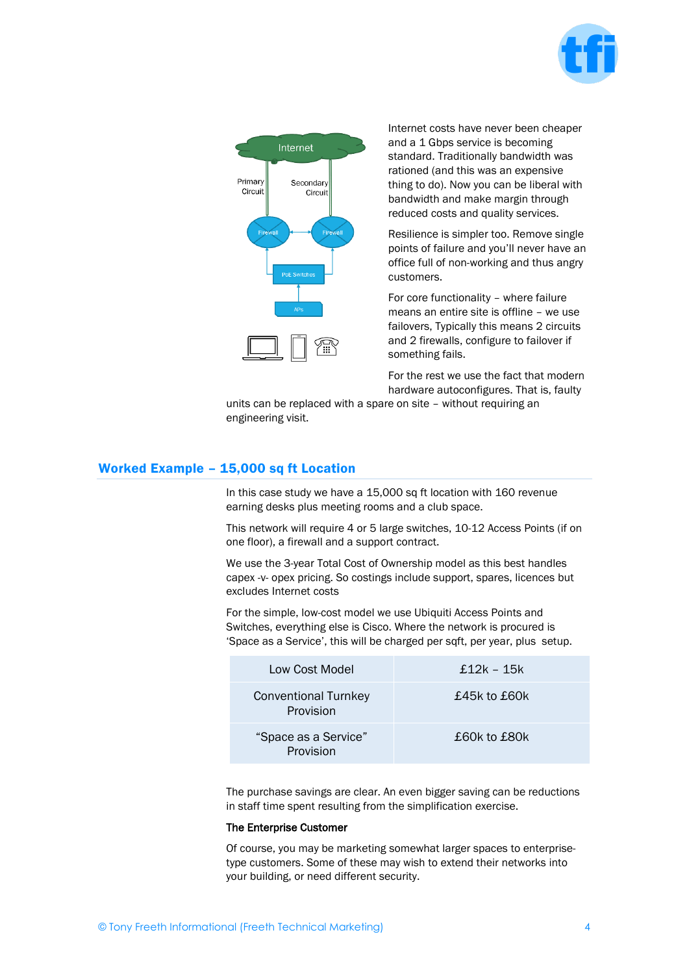



Internet costs have never been cheaper and a 1 Gbps service is becoming standard. Traditionally bandwidth was rationed (and this was an expensive thing to do). Now you can be liberal with bandwidth and make margin through reduced costs and quality services.

Resilience is simpler too. Remove single points of failure and you'll never have an office full of non-working and thus angry customers.

For core functionality – where failure means an entire site is offline – we use failovers, Typically this means 2 circuits and 2 firewalls, configure to failover if something fails.

For the rest we use the fact that modern hardware autoconfigures. That is, faulty

units can be replaced with a spare on site – without requiring an engineering visit.

#### Worked Example – 15,000 sq ft Location

In this case study we have a 15,000 sq ft location with 160 revenue earning desks plus meeting rooms and a club space.

This network will require 4 or 5 large switches, 10-12 Access Points (if on one floor), a firewall and a support contract.

We use the 3-year Total Cost of Ownership model as this best handles capex -v- opex pricing. So costings include support, spares, licences but excludes Internet costs

For the simple, low-cost model we use Ubiquiti Access Points and Switches, everything else is Cisco. Where the network is procured is 'Space as a Service', this will be charged per sqft, per year, plus setup.

| Low Cost Model                           | £12k – 15k   |
|------------------------------------------|--------------|
| <b>Conventional Turnkey</b><br>Provision | £45k to £60k |
| "Space as a Service"<br><b>Provision</b> | £60k to £80k |

The purchase savings are clear. An even bigger saving can be reductions in staff time spent resulting from the simplification exercise.

#### The Enterprise Customer

Of course, you may be marketing somewhat larger spaces to enterprisetype customers. Some of these may wish to extend their networks into your building, or need different security.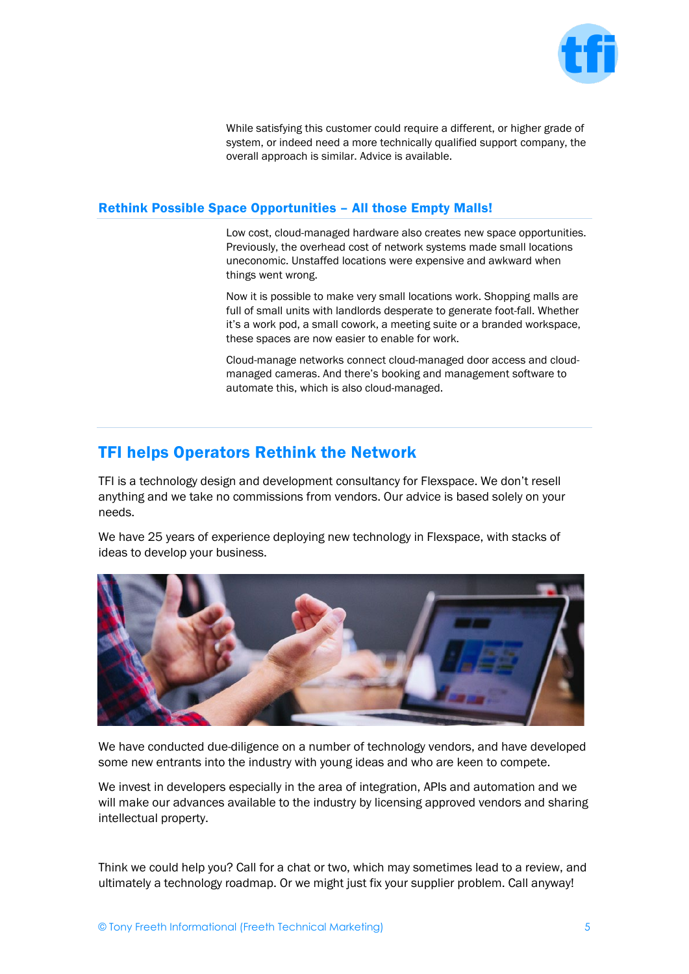

While satisfying this customer could require a different, or higher grade of system, or indeed need a more technically qualified support company, the overall approach is similar. Advice is available.

#### Rethink Possible Space Opportunities – All those Empty Malls!

Low cost, cloud-managed hardware also creates new space opportunities. Previously, the overhead cost of network systems made small locations uneconomic. Unstaffed locations were expensive and awkward when things went wrong.

Now it is possible to make very small locations work. Shopping malls are full of small units with landlords desperate to generate foot-fall. Whether it's a work pod, a small cowork, a meeting suite or a branded workspace, these spaces are now easier to enable for work.

Cloud-manage networks connect cloud-managed door access and cloudmanaged cameras. And there's booking and management software to automate this, which is also cloud-managed.

### TFI helps Operators Rethink the Network

TFI is a technology design and development consultancy for Flexspace. We don't resell anything and we take no commissions from vendors. Our advice is based solely on your needs.

We have 25 years of experience deploying new technology in Flexspace, with stacks of ideas to develop your business.



We have conducted due-diligence on a number of technology vendors, and have developed some new entrants into the industry with young ideas and who are keen to compete.

We invest in developers especially in the area of integration, APIs and automation and we will make our advances available to the industry by licensing approved vendors and sharing intellectual property.

Think we could help you? Call for a chat or two, which may sometimes lead to a review, and ultimately a technology roadmap. Or we might just fix your supplier problem. Call anyway!